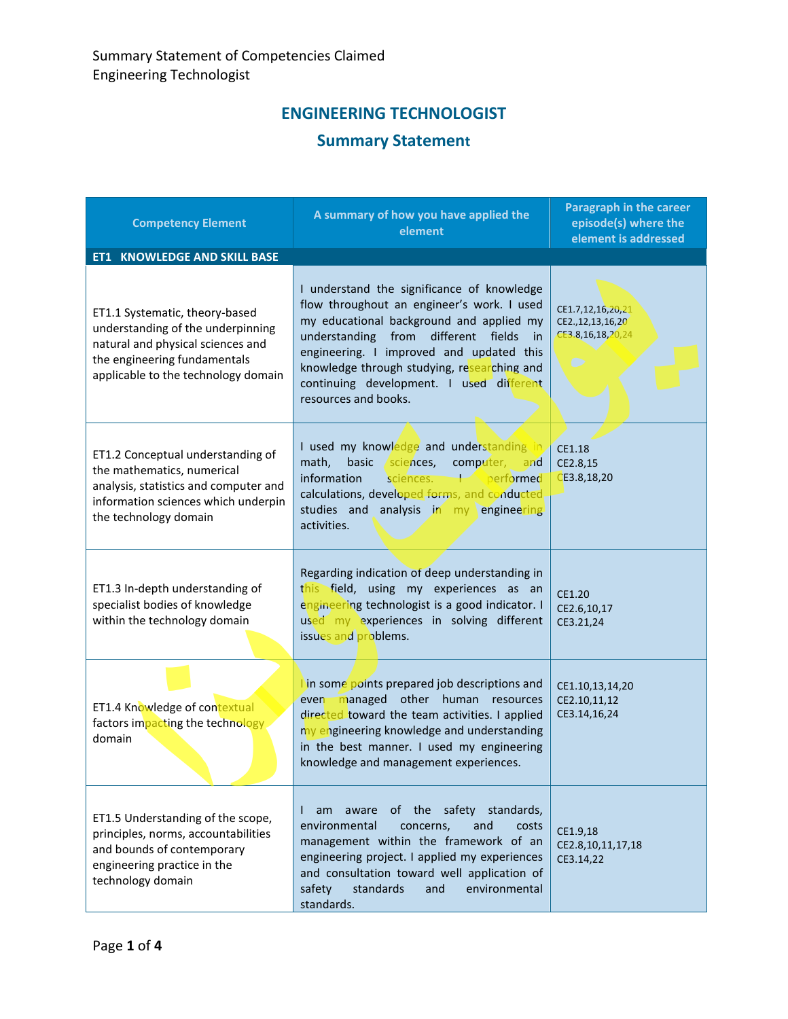## **ENGINEERING TECHNOLOGIST**

## **Summary Statement**

| <b>Competency Element</b>                                                                                                                                                       | A summary of how you have applied the<br>element                                                                                                                                                                                                                                                                                                       | <b>Paragraph in the career</b><br>episode(s) where the<br>element is addressed |
|---------------------------------------------------------------------------------------------------------------------------------------------------------------------------------|--------------------------------------------------------------------------------------------------------------------------------------------------------------------------------------------------------------------------------------------------------------------------------------------------------------------------------------------------------|--------------------------------------------------------------------------------|
| <b>ET1 KNOWLEDGE AND SKILL BASE</b>                                                                                                                                             |                                                                                                                                                                                                                                                                                                                                                        |                                                                                |
| ET1.1 Systematic, theory-based<br>understanding of the underpinning<br>natural and physical sciences and<br>the engineering fundamentals<br>applicable to the technology domain | I understand the significance of knowledge<br>flow throughout an engineer's work. I used<br>my educational background and applied my<br>understanding from<br>different fields<br>in in<br>engineering. I improved and updated this<br>knowledge through studying, researching and<br>continuing development. I used different<br>resources and books. | CE1.7,12,16,20,21<br>CE2., 12, 13, 16, 20<br>CE3.8,16,18,20,24<br>$\bullet$    |
| ET1.2 Conceptual understanding of<br>the mathematics, numerical<br>analysis, statistics and computer and<br>information sciences which underpin<br>the technology domain        | I used my knowledge and understanding in<br>math,<br>basic<br>sciences,<br>computer,<br>and<br>performed<br>information<br>sciences.<br>$\overline{+}$<br>calculations, developed forms, and conducted<br>studies and analysis in my engineering<br>activities.                                                                                        | CE1.18<br>CE2.8,15<br>CE3.8, 18, 20                                            |
| ET1.3 In-depth understanding of<br>specialist bodies of knowledge<br>within the technology domain                                                                               | Regarding indication of deep understanding in<br>this field, using my experiences as an<br>engineering technologist is a good indicator. I<br>used my experiences in solving different<br>issues and problems.                                                                                                                                         | CE1.20<br>CE2.6,10,17<br>CE3.21,24                                             |
| ET1.4 Knowledge of contextual<br>factors impacting the technology<br>domain                                                                                                     | in some points prepared job descriptions and<br>even managed other human resources<br>directed toward the team activities. I applied<br>ny engineering knowledge and understanding<br>in the best manner. I used my engineering<br>knowledge and management experiences.                                                                               | CE1.10,13,14,20<br>CE2.10,11,12<br>CE3.14,16,24                                |
| ET1.5 Understanding of the scope,<br>principles, norms, accountabilities<br>and bounds of contemporary<br>engineering practice in the<br>technology domain                      | of the safety standards,<br>am aware<br>L<br>environmental<br>concerns,<br>and<br>costs<br>management within the framework of an<br>engineering project. I applied my experiences<br>and consultation toward well application of<br>standards<br>environmental<br>safety<br>and<br>standards.                                                          | CE1.9,18<br>CE2.8,10,11,17,18<br>CE3.14,22                                     |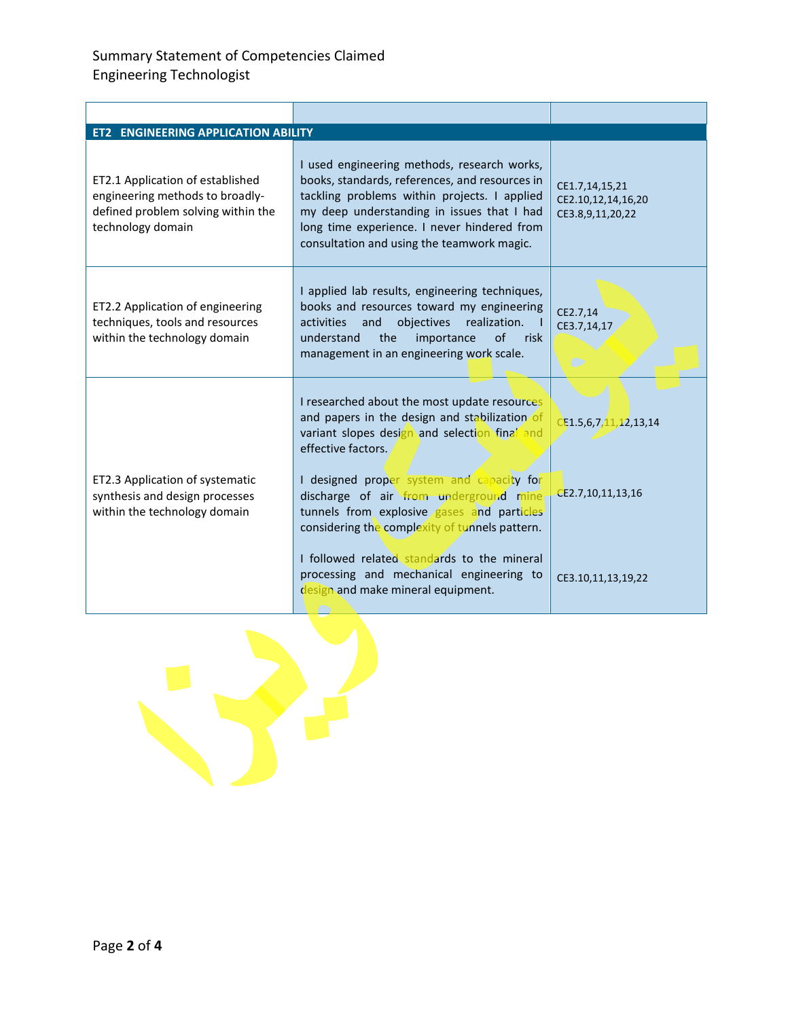## Summary Statement of Competencies Claimed Engineering Technologist

| <b>ET2 ENGINEERING APPLICATION ABILITY</b>                                                                                     |                                                                                                                                                                                                                                                                                          |                                                          |
|--------------------------------------------------------------------------------------------------------------------------------|------------------------------------------------------------------------------------------------------------------------------------------------------------------------------------------------------------------------------------------------------------------------------------------|----------------------------------------------------------|
| ET2.1 Application of established<br>engineering methods to broadly-<br>defined problem solving within the<br>technology domain | I used engineering methods, research works,<br>books, standards, references, and resources in<br>tackling problems within projects. I applied<br>my deep understanding in issues that I had<br>long time experience. I never hindered from<br>consultation and using the teamwork magic. | CE1.7,14,15,21<br>CE2.10,12,14,16,20<br>CE3.8,9,11,20,22 |
| ET2.2 Application of engineering<br>techniques, tools and resources<br>within the technology domain                            | I applied lab results, engineering techniques,<br>books and resources toward my engineering<br>and<br>objectives<br>activities<br>realization.<br>the<br>of<br>understand<br>importance<br>risk<br>management in an engineering work scale.                                              | CE2.7,14<br>CE3.7,14,17<br>$\bullet$                     |
|                                                                                                                                | I researched about the most update resources<br>and papers in the design and stabilization of<br>variant slopes design and selection final and<br>effective factors.                                                                                                                     | CF1.5, 6, 7, 11, 12, 13, 14                              |
| ET2.3 Application of systematic<br>synthesis and design processes<br>within the technology domain                              | I designed proper system and capacity for<br>discharge of air from underground mine<br>tunnels from explosive gases and particles<br>considering the complexity of tunnels pattern.                                                                                                      | CE2.7,10,11,13,16                                        |
|                                                                                                                                | I followed related standards to the mineral<br>processing and mechanical engineering to<br>design and make mineral equipment.                                                                                                                                                            | CE3.10,11,13,19,22                                       |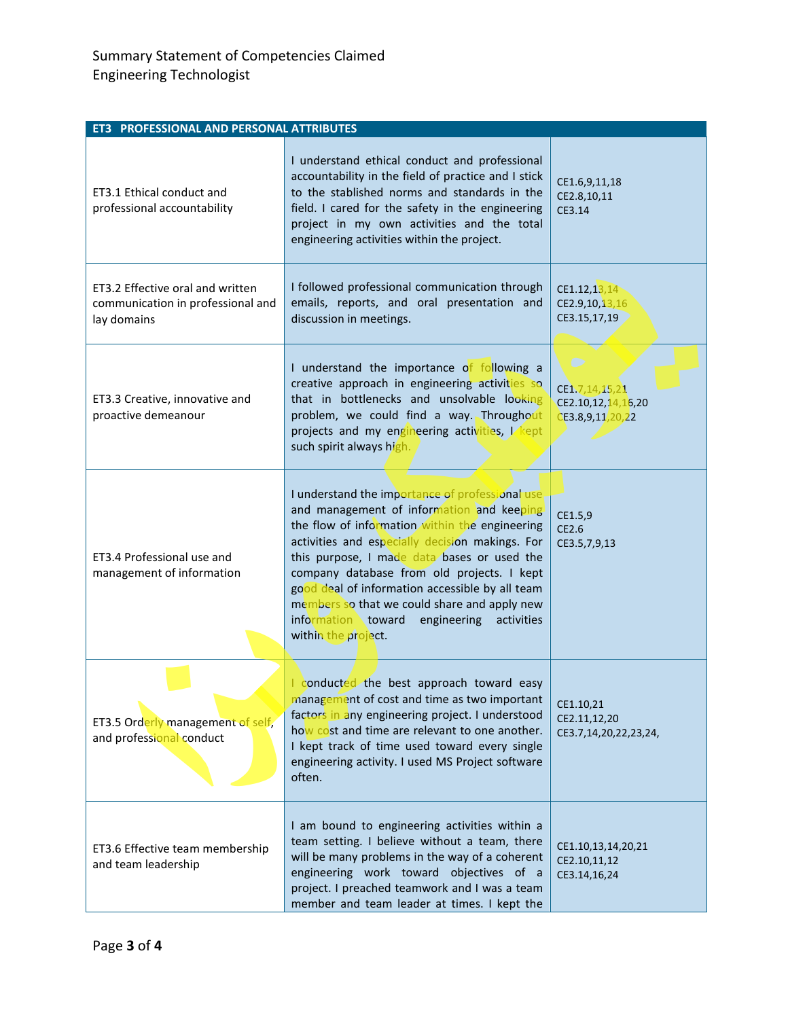| ET3 PROFESSIONAL AND PERSONAL ATTRIBUTES                                             |                                                                                                                                                                                                                                                                                                                                                                                                                                                                           |                                                               |  |  |
|--------------------------------------------------------------------------------------|---------------------------------------------------------------------------------------------------------------------------------------------------------------------------------------------------------------------------------------------------------------------------------------------------------------------------------------------------------------------------------------------------------------------------------------------------------------------------|---------------------------------------------------------------|--|--|
| ET3.1 Ethical conduct and<br>professional accountability                             | I understand ethical conduct and professional<br>accountability in the field of practice and I stick<br>to the stablished norms and standards in the<br>field. I cared for the safety in the engineering<br>project in my own activities and the total<br>engineering activities within the project.                                                                                                                                                                      | CE1.6,9,11,18<br>CE2.8,10,11<br>CE3.14                        |  |  |
| ET3.2 Effective oral and written<br>communication in professional and<br>lay domains | I followed professional communication through<br>emails, reports, and oral presentation and<br>discussion in meetings.                                                                                                                                                                                                                                                                                                                                                    | CE1.12,13,14<br>CE2.9,10,13,16<br>CE3.15,17,19                |  |  |
| ET3.3 Creative, innovative and<br>proactive demeanour                                | I understand the importance of following a<br>creative approach in engineering activities so<br>that in bottlenecks and unsolvable looking<br>problem, we could find a way. Throughout<br>projects and my engineering activities, L kept<br>such spirit always high.                                                                                                                                                                                                      | ◯<br>CE1.7,14,15,21<br>CE2.10,12,14,16,20<br>CE3.8,9,11,20,22 |  |  |
| ET3.4 Professional use and<br>management of information                              | I understand the importance of professional use.<br>and management of information and keeping<br>the flow of information within the engineering<br>activities and especially decision makings. For<br>this purpose, I made data bases or used the<br>company database from old projects. I kept<br>good deal of information accessible by all team<br>members so that we could share and apply new<br>information toward engineering<br>activities<br>within the project. | CE1.5,9<br>CE2.6<br>CE3.5,7,9,13                              |  |  |
| ET3.5 Orderly management of self,<br>and professional conduct                        | conducted the best approach toward easy<br>management of cost and time as two important<br>factors in any engineering project. I understood<br>how cost and time are relevant to one another.<br>I kept track of time used toward every single<br>engineering activity. I used MS Project software<br>often.                                                                                                                                                              | CE1.10,21<br>CE2.11,12,20<br>CE3.7,14,20,22,23,24,            |  |  |
| ET3.6 Effective team membership<br>and team leadership                               | I am bound to engineering activities within a<br>team setting. I believe without a team, there<br>will be many problems in the way of a coherent<br>engineering work toward objectives of a<br>project. I preached teamwork and I was a team<br>member and team leader at times. I kept the                                                                                                                                                                               | CE1.10,13,14,20,21<br>CE2.10,11,12<br>CE3.14,16,24            |  |  |